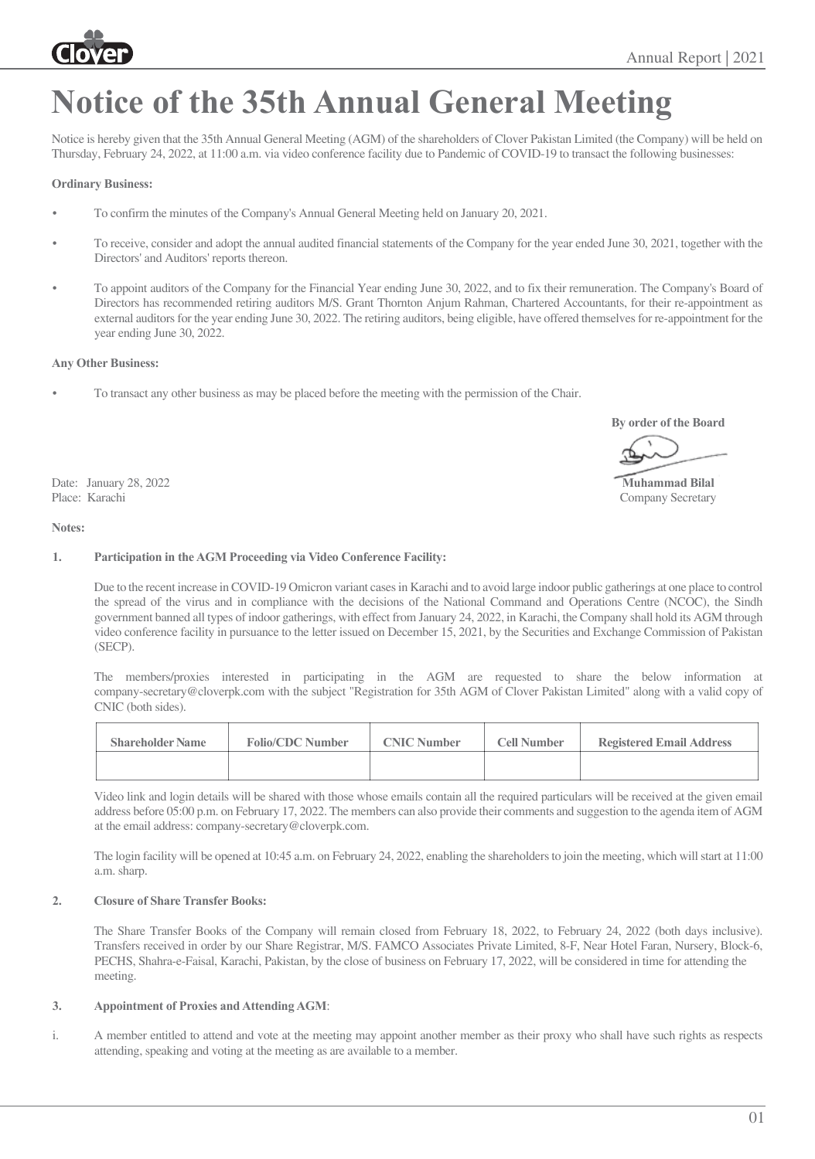

# **Notice of the 35th Annual General Meeting**

Notice is hereby given that the 35th Annual General Meeting (AGM) of the shareholders of Clover Pakistan Limited (the Company) will be held on Thursday, February 24, 2022, at 11:00 a.m. via video conference facility due to Pandemic of COVID-19 to transact the following businesses:

#### **Ordinary Business:**

- To confirm the minutes of the Company's Annual General Meeting held on January 20, 2021.
- To receive, consider and adopt the annual audited financial statements of the Company for the year ended June 30, 2021, together with the Directors' and Auditors' reports thereon.
- To appoint auditors of the Company for the Financial Year ending June 30, 2022, and to fix their remuneration. The Company's Board of Directors has recommended retiring auditors M/S. Grant Thornton Anjum Rahman, Chartered Accountants, for their re-appointment as external auditors for the year ending June 30, 2022. The retiring auditors, being eligible, have offered themselves for re-appointment for the year ending June 30, 2022.

## **Any Other Business:**

• To transact any other business as may be placed before the meeting with the permission of the Chair.

**By order of the Board**

Date: January 28, 2022 **Muhammad Bilal** Place: Karachi Company Secretary

#### **Notes:**

# **1. Participation in the AGM Proceeding via Video Conference Facility:**

 Due to the recent increase in COVID-19 Omicron variant cases in Karachi and to avoid large indoor public gatherings at one place to control the spread of the virus and in compliance with the decisions of the National Command and Operations Centre (NCOC), the Sindh government banned all types of indoor gatherings, with effect from January 24, 2022, in Karachi, the Company shall hold its AGM through video conference facility in pursuance to the letter issued on December 15, 2021, by the Securities and Exchange Commission of Pakistan (SECP).

 The members/proxies interested in participating in the AGM are requested to share the below information at company-secretary@cloverpk.com with the subject "Registration for 35th AGM of Clover Pakistan Limited" along with a valid copy of CNIC (both sides).

| <b>Shareholder Name</b> | <b>Folio/CDC Number</b> | <b>CNIC Number</b> | <b>Cell Number</b> | <b>Registered Email Address</b> |
|-------------------------|-------------------------|--------------------|--------------------|---------------------------------|
|                         |                         |                    |                    |                                 |

 Video link and login details will be shared with those whose emails contain all the required particulars will be received at the given email address before 05:00 p.m. on February 17, 2022. The members can also provide their comments and suggestion to the agenda item of AGM at the email address: company-secretary@cloverpk.com.

 The login facility will be opened at 10:45 a.m. on February 24, 2022, enabling the shareholders to join the meeting, which will start at 11:00 a.m. sharp.

# **2. Closure of Share Transfer Books:**

 The Share Transfer Books of the Company will remain closed from February 18, 2022, to February 24, 2022 (both days inclusive). Transfers received in order by our Share Registrar, M/S. FAMCO Associates Private Limited, 8-F, Near Hotel Faran, Nursery, Block-6, PECHS, Shahra-e-Faisal, Karachi, Pakistan, by the close of business on February 17, 2022, will be considered in time for attending the meeting.

# **3. Appointment of Proxies and Attending AGM**:

i. A member entitled to attend and vote at the meeting may appoint another member as their proxy who shall have such rights as respects attending, speaking and voting at the meeting as are available to a member.